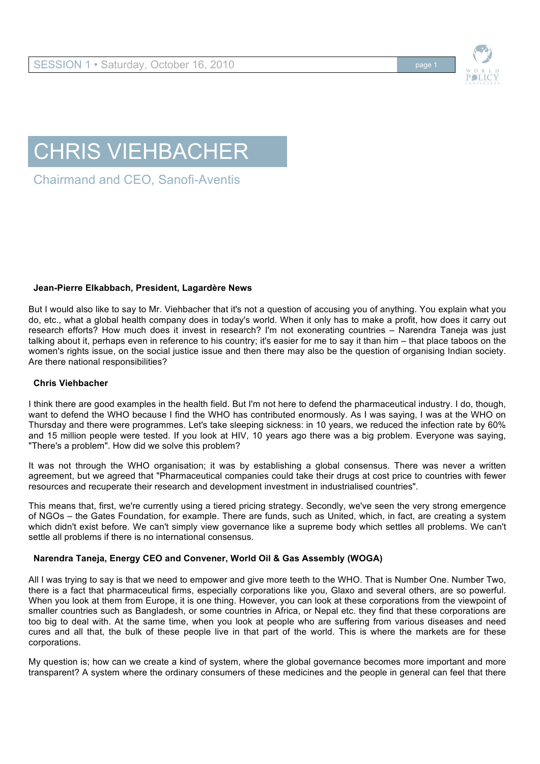

# CHRIS VIEHBACHER

Chairmand and CEO, Sanofi-Aventis

# **Jean-Pierre Elkabbach, President, Lagardère News**

But I would also like to say to Mr. Viehbacher that it's not a question of accusing you of anything. You explain what you do, etc., what a global health company does in today's world. When it only has to make a profit, how does it carry out research efforts? How much does it invest in research? I'm not exonerating countries – Narendra Taneja was just talking about it, perhaps even in reference to his country; it's easier for me to say it than him – that place taboos on the women's rights issue, on the social justice issue and then there may also be the question of organising Indian society. Are there national responsibilities?

## **Chris Viehbacher**

I think there are good examples in the health field. But I'm not here to defend the pharmaceutical industry. I do, though, want to defend the WHO because I find the WHO has contributed enormously. As I was saying, I was at the WHO on Thursday and there were programmes. Let's take sleeping sickness: in 10 years, we reduced the infection rate by 60% and 15 million people were tested. If you look at HIV, 10 years ago there was a big problem. Everyone was saying, "There's a problem". How did we solve this problem?

It was not through the WHO organisation; it was by establishing a global consensus. There was never a written agreement, but we agreed that "Pharmaceutical companies could take their drugs at cost price to countries with fewer resources and recuperate their research and development investment in industrialised countries".

This means that, first, we're currently using a tiered pricing strategy. Secondly, we've seen the very strong emergence of NGOs – the Gates Foundation, for example. There are funds, such as United, which, in fact, are creating a system which didn't exist before. We can't simply view governance like a supreme body which settles all problems. We can't settle all problems if there is no international consensus.

# **Narendra Taneja, Energy CEO and Convener, World Oil & Gas Assembly (WOGA)**

All I was trying to say is that we need to empower and give more teeth to the WHO. That is Number One. Number Two, there is a fact that pharmaceutical firms, especially corporations like you, Glaxo and several others, are so powerful. When you look at them from Europe, it is one thing. However, you can look at these corporations from the viewpoint of smaller countries such as Bangladesh, or some countries in Africa, or Nepal etc. they find that these corporations are too big to deal with. At the same time, when you look at people who are suffering from various diseases and need cures and all that, the bulk of these people live in that part of the world. This is where the markets are for these corporations.

My question is; how can we create a kind of system, where the global governance becomes more important and more transparent? A system where the ordinary consumers of these medicines and the people in general can feel that there